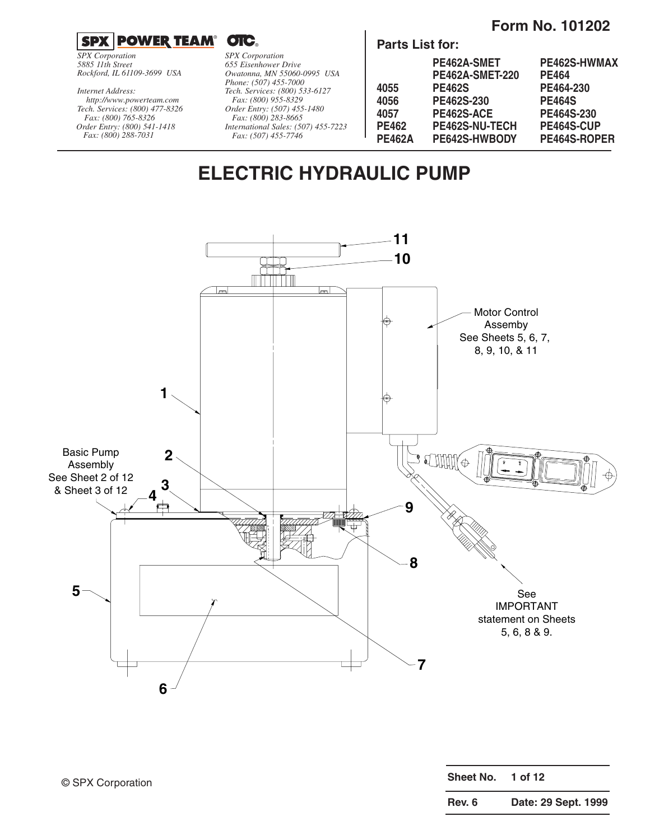## **Form No. 101202**

**SPX POWER TEAM® OTC** 

*SPX Corporation 5885 11th Street Rockford, IL 61109-3699 USA*

*Tech. Services: (800) 477-8326 Fax: (800) 765-8326 Order Entry: (800) 541-1418 Fax: (800) 288-7031 http://www.powerteam.com Internet Address:*

*SPX Corporation 655 Eisenhower Drive Owatonna, MN 55060-0995 USA Phone: (507) 455-7000 Tech. Services: (800) 533-6127 Fax: (800) 955-8329 Order Entry: (507) 455-1480 Fax: (800) 283-8665 International Sales: (507) 455-7223 Fax: (507) 455-7746*

**Parts List for:**

|        | PE462A-SMET            | PE462S-HWMAX  |
|--------|------------------------|---------------|
|        | <b>PE462A-SMET-220</b> | <b>PE464</b>  |
| 4055   | <b>PE462S</b>          | PE464-230     |
| 4056   | PE462S-230             | <b>PE464S</b> |
| 4057   | PE462S-ACE             | PE464S-230    |
| PE462  | <b>PE462S-NU-TECH</b>  | PE464S-CUP    |
| PE462A | PE642S-HWBODY          | PE464S-ROPER  |
|        |                        |               |

# **ELECTRIC HYDRAULIC PUMP**



| Sheet No. | 1 of 12             |
|-----------|---------------------|
| Rev. 6    | Date: 29 Sept. 1999 |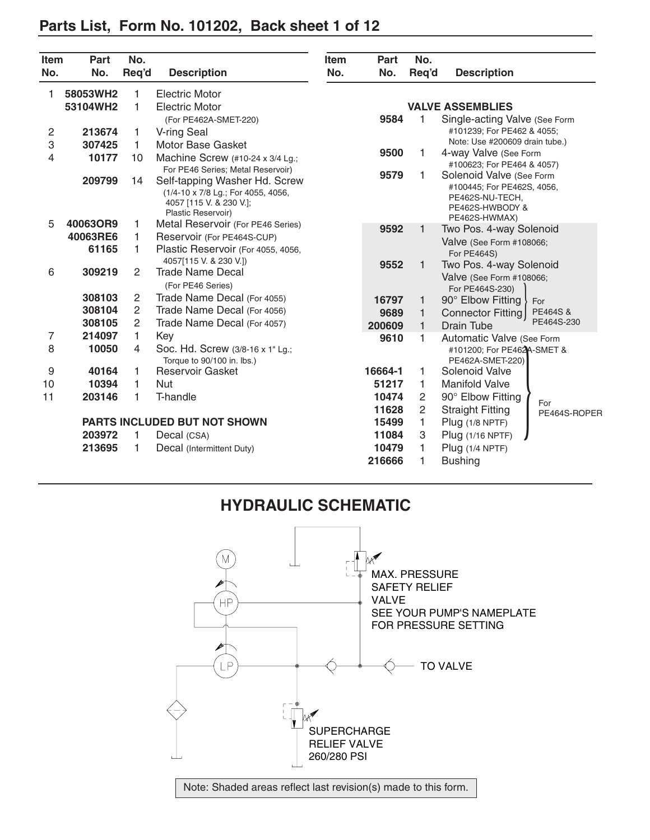# **Parts List, Form No. 101202, Back sheet 1 of 12**

| <b>Item</b><br>No. | Part<br>No. | No.<br>Reg'd   | <b>Description</b>                                                                                                   | <b>Item</b><br>No. | Part<br>No.     | No.<br>Reg'd   | <b>Description</b>                                                                           |
|--------------------|-------------|----------------|----------------------------------------------------------------------------------------------------------------------|--------------------|-----------------|----------------|----------------------------------------------------------------------------------------------|
| 1                  | 58053WH2    | 1              | Electric Motor                                                                                                       |                    |                 |                |                                                                                              |
|                    | 53104WH2    | 1              | <b>Electric Motor</b>                                                                                                |                    |                 |                | <b>VALVE ASSEMBLIES</b>                                                                      |
|                    |             |                | (For PE462A-SMET-220)                                                                                                |                    | 9584            |                | Single-acting Valve (See Form                                                                |
| 2                  | 213674      | 1              | V-ring Seal                                                                                                          |                    |                 |                | #101239; For PE462 & 4055;                                                                   |
| 3                  | 307425      | 1.             | Motor Base Gasket                                                                                                    |                    |                 |                | Note: Use #200609 drain tube.)                                                               |
| 4                  | 10177       | 10             | Machine Screw (#10-24 x 3/4 Lg.;                                                                                     |                    | 9500            | 1.             | 4-way Valve (See Form                                                                        |
|                    |             |                | For PE46 Series; Metal Reservoir)                                                                                    |                    |                 |                | #100623; For PE464 & 4057)                                                                   |
|                    | 209799      | 14             | Self-tapping Washer Hd. Screw<br>(1/4-10 x 7/8 Lg.; For 4055, 4056,<br>4057 [115 V. & 230 V.];<br>Plastic Reservoir) |                    | 9579            | 1              | Solenoid Valve (See Form<br>#100445; For PE462S, 4056,<br>PE462S-NU-TECH.<br>PE462S-HWBODY & |
| 5                  | 40063OR9    | 1              | Metal Reservoir (For PE46 Series)                                                                                    |                    | 9592            | 1              | PE462S-HWMAX)<br>Two Pos. 4-way Solenoid                                                     |
|                    | 40063RE6    | 1              | Reservoir (For PE464S-CUP)                                                                                           |                    |                 |                | Valve (See Form #108066;                                                                     |
|                    | 61165       | 1              | Plastic Reservoir (For 4055, 4056,                                                                                   |                    |                 |                | For PE464S)                                                                                  |
|                    |             |                | 4057[115 V. & 230 V.])                                                                                               |                    | 9552            |                | Two Pos. 4-way Solenoid                                                                      |
| 6                  | 309219      | $\overline{2}$ | Trade Name Decal<br>(For PE46 Series)                                                                                |                    |                 |                | Valve (See Form #108066;<br>For PE464S-230)                                                  |
|                    | 308103      | 2              | Trade Name Decal (For 4055)                                                                                          |                    | 16797           | 1              | 90° Elbow Fitting<br>For                                                                     |
|                    | 308104      | 2              | Trade Name Decal (For 4056)                                                                                          |                    | 9689            | 1              | PE464S&<br>Connector Fitting                                                                 |
|                    | 308105      | $\overline{c}$ | Trade Name Decal (For 4057)                                                                                          |                    | 200609          | $\mathbf{1}$   | PE464S-230<br><b>Drain Tube</b>                                                              |
| 7                  | 214097      | $\mathbf{1}$   | Key                                                                                                                  |                    | 9610            | 1.             | Automatic Valve (See Form                                                                    |
| 8                  | 10050       | 4              | Soc. Hd. Screw (3/8-16 x 1" Lg.;<br>Torque to 90/100 in. lbs.)                                                       |                    |                 |                | #101200; For PE462A-SMET &<br>PE462A-SMET-220)                                               |
| 9                  | 40164       | 1.             | <b>Reservoir Gasket</b>                                                                                              |                    | 16664-1         | 1.             | Solenoid Valve                                                                               |
| 10                 | 10394       | 1.             | <b>Nut</b>                                                                                                           |                    | 51217           | 1.             | <b>Manifold Valve</b>                                                                        |
| 11                 | 203146      | 1              | T-handle                                                                                                             |                    | 10474           | 2              | 90° Elbow Fitting<br>For                                                                     |
|                    |             |                |                                                                                                                      |                    | 11628           | $\overline{2}$ | <b>Straight Fitting</b><br>PE464S-ROPER                                                      |
|                    |             |                | <b>PARTS INCLUDED BUT NOT SHOWN</b>                                                                                  |                    | 15499           | 1              | Plug (1/8 NPTF)                                                                              |
|                    | 203972      | 1              | Decal (CSA)                                                                                                          |                    | 11084           | 3              | Plug (1/16 NPTF)                                                                             |
|                    | 213695      | 1              | Decal (Intermittent Duty)                                                                                            |                    | 10479<br>216666 | 1.<br>1        | Plug (1/4 NPTF)<br><b>Bushing</b>                                                            |

# **HYDRAULIC SCHEMATIC**

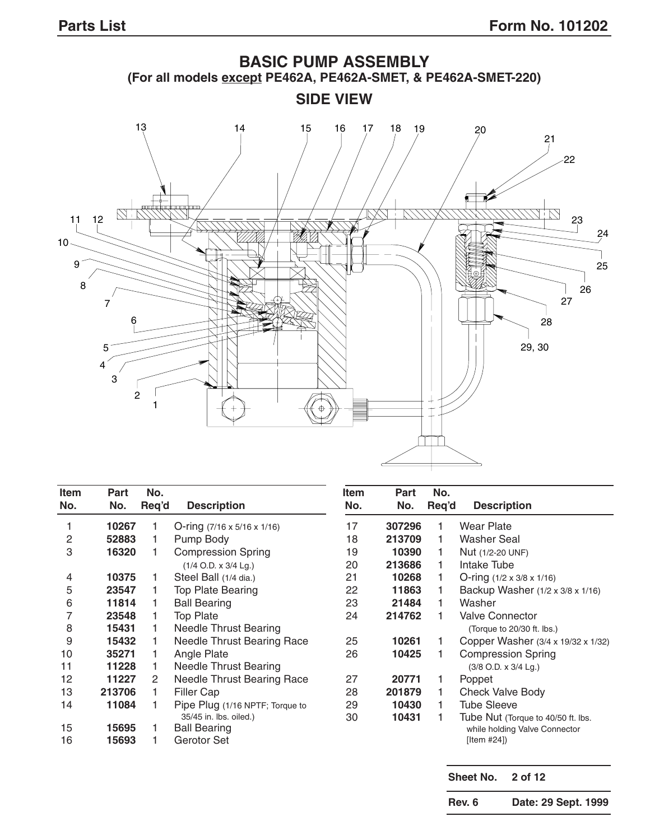

| <b>Item</b><br>No. | Part<br>No. | No.<br>Req'd | <b>Description</b>                      | <b>Item</b><br>No. | <b>Part</b><br>No. | No.<br>Req'd | <b>Description</b>                    |
|--------------------|-------------|--------------|-----------------------------------------|--------------------|--------------------|--------------|---------------------------------------|
|                    |             |              |                                         |                    |                    |              |                                       |
|                    | 10267       |              | O-ring $(7/16 \times 5/16 \times 1/16)$ | 17                 | 307296             |              | Wear Plate                            |
| 2                  | 52883       |              | Pump Body                               | 18                 | 213709             |              | Washer Seal                           |
| 3                  | 16320       |              | <b>Compression Spring</b>               | 19                 | 10390              |              | Nut (1/2-20 UNF)                      |
|                    |             |              | $(1/4$ O.D. x $3/4$ Lg.)                | 20                 | 213686             |              | Intake Tube                           |
| 4                  | 10375       |              | Steel Ball (1/4 dia.)                   | 21                 | 10268              |              | O-ring $(1/2 \times 3/8 \times 1/16)$ |
| 5                  | 23547       |              | <b>Top Plate Bearing</b>                | 22                 | 11863              |              | Backup Washer (1/2 x 3/8 x 1/16)      |
| 6                  | 11814       |              | <b>Ball Bearing</b>                     | 23                 | 21484              |              | Washer                                |
|                    | 23548       |              | <b>Top Plate</b>                        | 24                 | 214762             |              | <b>Valve Connector</b>                |
| 8                  | 15431       |              | <b>Needle Thrust Bearing</b>            |                    |                    |              | (Torque to 20/30 ft. lbs.)            |
| 9                  | 15432       |              | <b>Needle Thrust Bearing Race</b>       | 25                 | 10261              |              | Copper Washer (3/4 x 19/32 x 1/32)    |
| 10                 | 35271       |              | Angle Plate                             | 26                 | 10425              |              | <b>Compression Spring</b>             |
| 11                 | 11228       |              | <b>Needle Thrust Bearing</b>            |                    |                    |              | $(3/8$ O.D. x $3/4$ Lg.)              |
| 12                 | 11227       | 2            | <b>Needle Thrust Bearing Race</b>       | 27                 | 20771              |              | Poppet                                |
| 13                 | 213706      |              | Filler Cap                              | 28                 | 201879             |              | <b>Check Valve Body</b>               |
| 14                 | 11084       |              | Pipe Plug (1/16 NPTF; Torque to         | 29                 | 10430              |              | <b>Tube Sleeve</b>                    |
|                    |             |              | 35/45 in. lbs. oiled.)                  | 30                 | 10431              |              | Tube Nut (Torque to 40/50 ft. lbs.    |
| 15                 | 15695       |              | <b>Ball Bearing</b>                     |                    |                    |              | while holding Valve Connector         |
| 16                 | 15693       |              | Gerotor Set                             |                    |                    |              | [Item #24]                            |

**Sheet No. 2 of 12**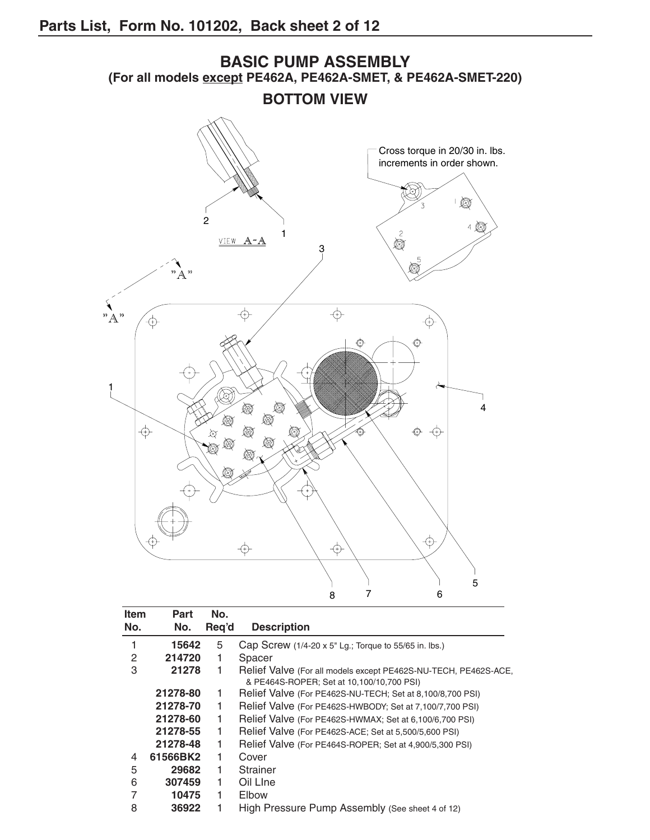

| <b>Item</b> | Part     | No.   |                                                                 |
|-------------|----------|-------|-----------------------------------------------------------------|
| No.         | No.      | Req'd | <b>Description</b>                                              |
| 1           | 15642    | 5     | Cap Screw $(1/4-20 \times 5)$ Lg.; Torque to 55/65 in. lbs.)    |
| 2           | 214720   |       | Spacer                                                          |
| 3           | 21278    | 1     | Relief Valve (For all models except PE462S-NU-TECH, PE462S-ACE, |
|             |          |       | & PE464S-ROPER; Set at 10,100/10,700 PSI)                       |
|             | 21278-80 | 1     | Relief Valve (For PE462S-NU-TECH; Set at 8,100/8,700 PSI)       |
|             | 21278-70 |       | Relief Valve (For PE462S-HWBODY; Set at 7,100/7,700 PSI)        |
|             | 21278-60 | 1     | Relief Valve (For PE462S-HWMAX; Set at 6,100/6,700 PSI)         |
|             | 21278-55 |       | Relief Valve (For PE462S-ACE; Set at 5,500/5,600 PSI)           |
|             | 21278-48 |       | Relief Valve (For PE464S-ROPER; Set at 4,900/5,300 PSI)         |
| 4           | 61566BK2 | 1     | Cover                                                           |
| 5           | 29682    |       | Strainer                                                        |
| 6           | 307459   | 1     | Oil Line                                                        |
| 7           | 10475    | 1     | Elbow                                                           |
| 8           | 36922    |       | High Pressure Pump Assembly (See sheet 4 of 12)                 |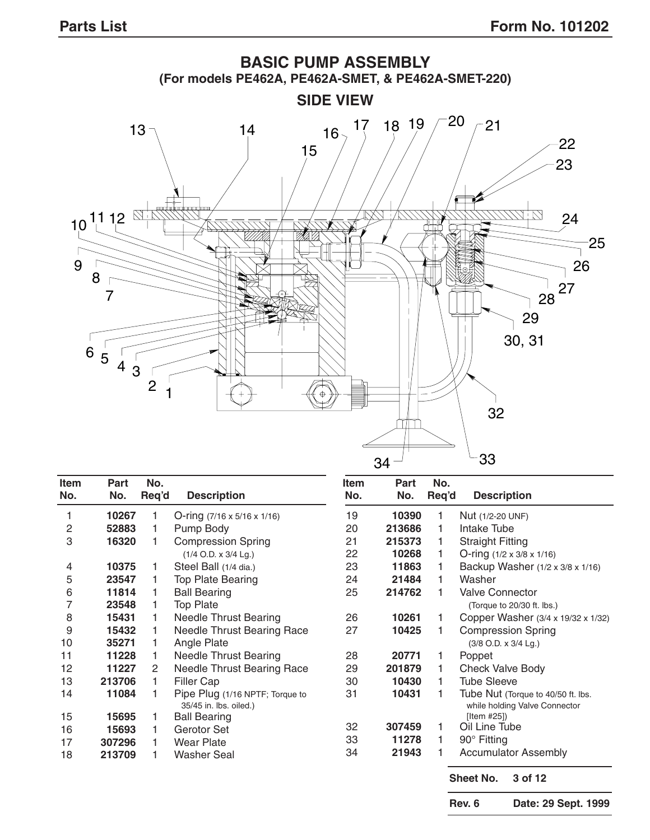

| <b>Item</b> | Part   | No.   |                                                           | <b>Item</b> | Part   | No.   |                                                                     |
|-------------|--------|-------|-----------------------------------------------------------|-------------|--------|-------|---------------------------------------------------------------------|
| No.         | No.    | Req'd | <b>Description</b>                                        | No.         | No.    | Reg'd | <b>Description</b>                                                  |
|             | 10267  |       | O-ring $(7/16 \times 5/16 \times 1/16)$                   | 19          | 10390  |       | Nut (1/2-20 UNF)                                                    |
| 2           | 52883  |       | Pump Body                                                 | 20          | 213686 |       | Intake Tube                                                         |
| 3           | 16320  |       | <b>Compression Spring</b>                                 | 21          | 215373 |       | <b>Straight Fitting</b>                                             |
|             |        |       | $(1/4$ O.D. x $3/4$ Lg.)                                  | 22          | 10268  |       | O-ring $(1/2 \times 3/8 \times 1/16)$                               |
| 4           | 10375  |       | Steel Ball (1/4 dia.)                                     | 23          | 11863  |       | Backup Washer (1/2 x 3/8 x 1/16)                                    |
| 5           | 23547  |       | Top Plate Bearing                                         | 24          | 21484  |       | Washer                                                              |
| 6           | 11814  |       | <b>Ball Bearing</b>                                       | 25          | 214762 |       | <b>Valve Connector</b>                                              |
| 7           | 23548  |       | <b>Top Plate</b>                                          |             |        |       | (Torque to 20/30 ft. lbs.)                                          |
| 8           | 15431  |       | <b>Needle Thrust Bearing</b>                              | 26          | 10261  |       | Copper Washer (3/4 x 19/32 x 1/32)                                  |
| 9           | 15432  |       | <b>Needle Thrust Bearing Race</b>                         | 27          | 10425  |       | <b>Compression Spring</b>                                           |
| 10          | 35271  |       | Angle Plate                                               |             |        |       | (3/8 O.D. x 3/4 Lg.)                                                |
| 11          | 11228  |       | <b>Needle Thrust Bearing</b>                              | 28          | 20771  |       | Poppet                                                              |
| 12          | 11227  | 2     | Needle Thrust Bearing Race                                | 29          | 201879 |       | <b>Check Valve Body</b>                                             |
| 13          | 213706 |       | Filler Cap                                                | 30          | 10430  |       | <b>Tube Sleeve</b>                                                  |
| 14          | 11084  |       | Pipe Plug (1/16 NPTF; Torque to<br>35/45 in. lbs. oiled.) | 31          | 10431  |       | Tube Nut (Torque to 40/50 ft. lbs.<br>while holding Valve Connector |
| 15          | 15695  |       | <b>Ball Bearing</b>                                       |             |        |       | [Item #25]                                                          |
| 16          | 15693  |       | Gerotor Set                                               | 32          | 307459 |       | Oil Line Tube                                                       |
| 17          | 307296 |       | <b>Wear Plate</b>                                         | 33          | 11278  |       | 90° Fitting                                                         |
| 18          | 213709 |       | <b>Washer Seal</b>                                        | 34          | 21943  |       | <b>Accumulator Assembly</b>                                         |

**Sheet No. 3 of 12**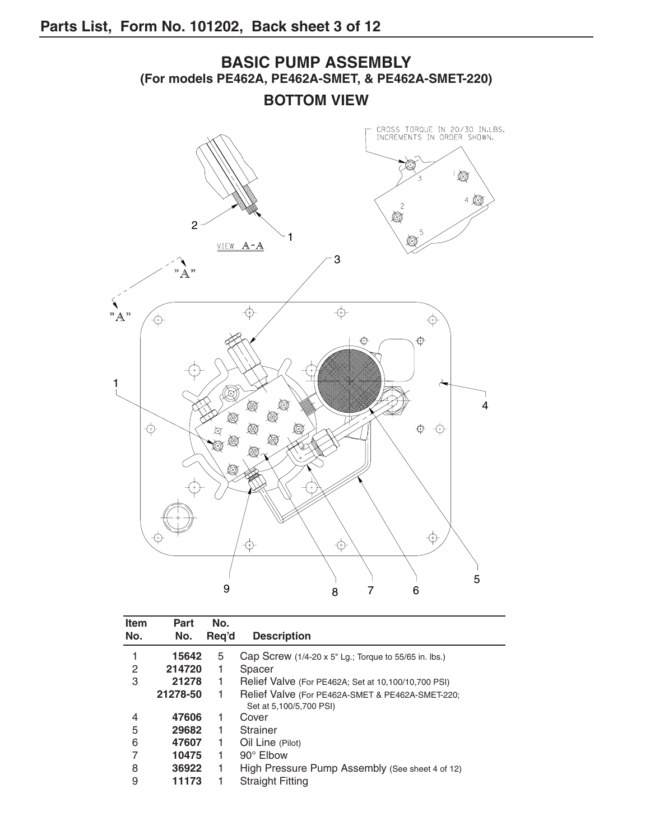

| <b>Item</b> | Part     | No.   |                                                               |
|-------------|----------|-------|---------------------------------------------------------------|
| No.         | No.      | Reg'd | <b>Description</b>                                            |
| 1           | 15642    | 5     | Cap Screw $(1/4-20 \times 5$ " Lg.; Torque to 55/65 in. lbs.) |
| 2           | 214720   | 1     | Spacer                                                        |
| 3           | 21278    | 1     | Relief Valve (For PE462A; Set at 10,100/10,700 PSI)           |
|             | 21278-50 |       | Relief Valve (For PE462A-SMET & PE462A-SMET-220;              |
|             |          |       | Set at 5,100/5,700 PSI)                                       |
| 4           | 47606    | 1     | Cover                                                         |
| 5           | 29682    | 1     | Strainer                                                      |
| 6           | 47607    | 1     | Oil Line (Pilot)                                              |
| 7           | 10475    | 1     | 90° Elbow                                                     |
| 8           | 36922    |       | High Pressure Pump Assembly (See sheet 4 of 12)               |
| 9           | 11173    |       | <b>Straight Fitting</b>                                       |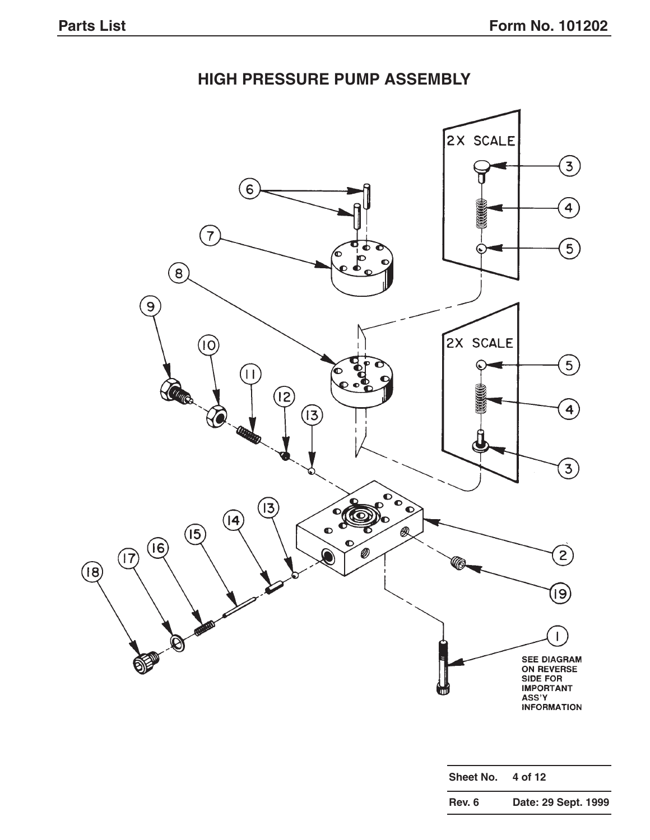# **HIGH PRESSURE PUMP ASSEMBLY**



| Sheet No. | 4 of 12             |
|-----------|---------------------|
| Rev. 6    | Date: 29 Sept. 1999 |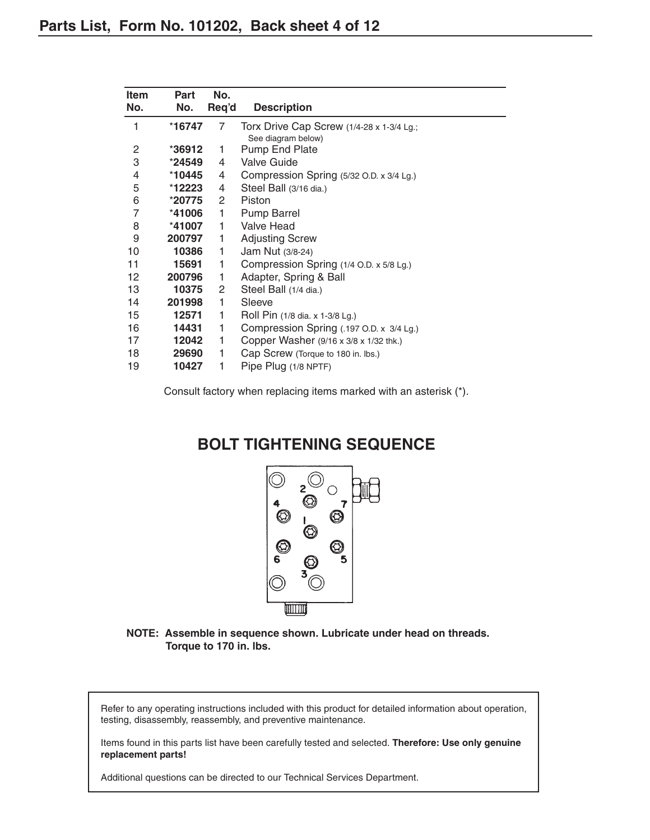| <b>Item</b><br>No. | Part<br>No. | No.<br>Req'd          | <b>Description</b>                                              |
|--------------------|-------------|-----------------------|-----------------------------------------------------------------|
| 1                  | *16747      | 7                     | Torx Drive Cap Screw (1/4-28 x 1-3/4 Lg.;<br>See diagram below) |
| $\overline{c}$     | $*36912$    | 1                     | Pump End Plate                                                  |
| 3                  | *24549      | 4                     | <b>Valve Guide</b>                                              |
| 4                  | *10445      | 4                     | Compression Spring (5/32 O.D. x 3/4 Lg.)                        |
| 5                  | *12223      | 4                     | Steel Ball (3/16 dia.)                                          |
| 6                  | *20775      | $\mathbf{2}^{\prime}$ | Piston                                                          |
| $\overline{7}$     | *41006      | 1                     | <b>Pump Barrel</b>                                              |
| 8                  | *41007      | 1                     | Valve Head                                                      |
| 9                  | 200797      | 1                     | <b>Adjusting Screw</b>                                          |
| 10                 | 10386       | 1                     | Jam Nut (3/8-24)                                                |
| 11                 | 15691       | 1                     | Compression Spring (1/4 O.D. x 5/8 Lg.)                         |
| 12                 | 200796      | 1                     | Adapter, Spring & Ball                                          |
| 13                 | 10375       | $\mathbf{2}^{\prime}$ | Steel Ball (1/4 dia.)                                           |
| 14                 | 201998      | 1                     | Sleeve                                                          |
| 15                 | 12571       | 1                     | Roll Pin (1/8 dia. x 1-3/8 Lg.)                                 |
| 16                 | 14431       | 1                     | Compression Spring (.197 O.D. x 3/4 Lg.)                        |
| 17                 | 12042       | 1                     | Copper Washer (9/16 x 3/8 x 1/32 thk.)                          |
| 18                 | 29690       | 1                     | Cap Screw (Torque to 180 in. lbs.)                              |
| 19                 | 10427       | 1                     | Pipe Plug (1/8 NPTF)                                            |

Consult factory when replacing items marked with an asterisk (\*).

## **BOLT TIGHTENING SEQUENCE**



**NOTE: Assemble in sequence shown. Lubricate under head on threads. Torque to 170 in. lbs.**

Refer to any operating instructions included with this product for detailed information about operation, testing, disassembly, reassembly, and preventive maintenance.

Items found in this parts list have been carefully tested and selected. **Therefore: Use only genuine replacement parts!**

Additional questions can be directed to our Technical Services Department.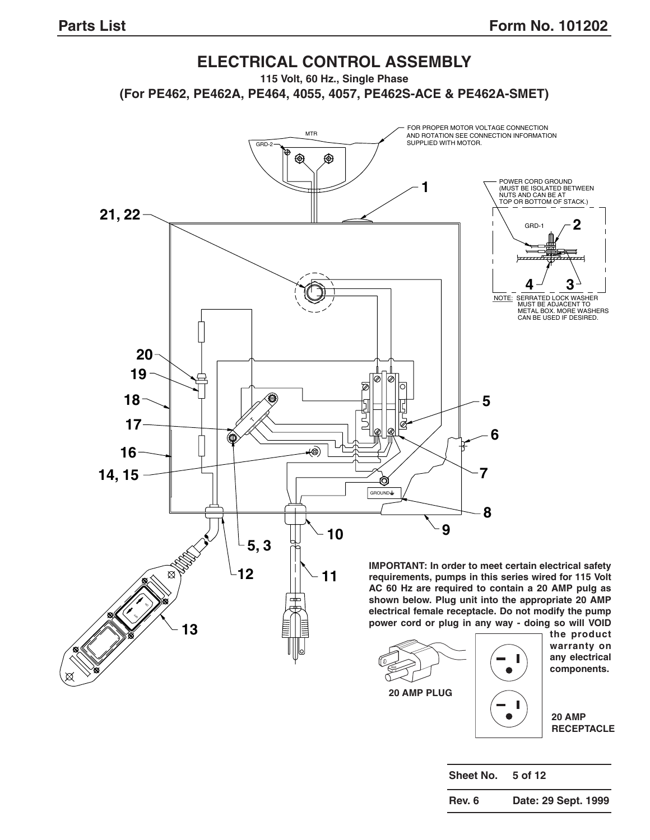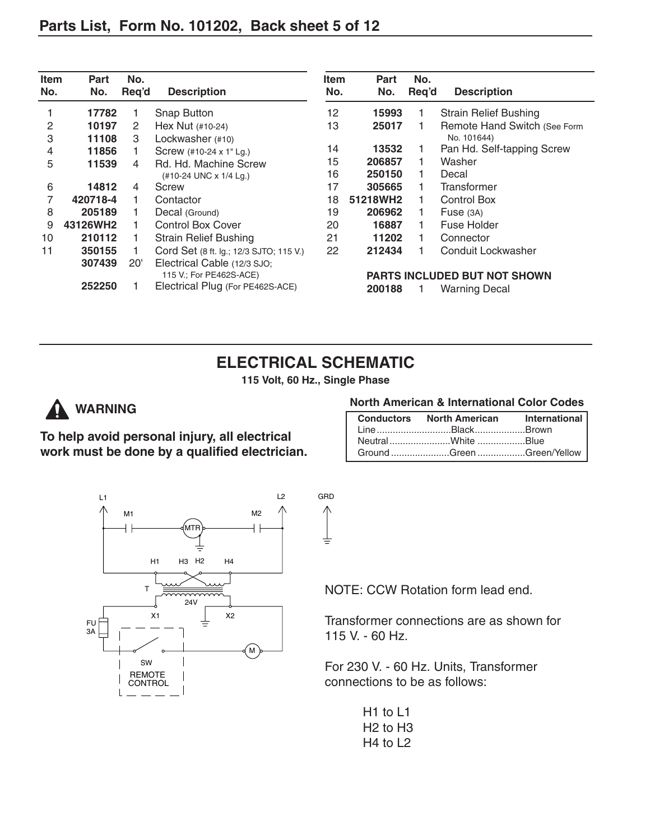| <b>Item</b><br>No. | Part<br>No. | No.<br>Req'd | <b>Description</b>                      | <b>Item</b><br>No. | Part<br>No. | No.<br>Req'd | <b>Description</b>           |
|--------------------|-------------|--------------|-----------------------------------------|--------------------|-------------|--------------|------------------------------|
|                    | 17782       |              | Snap Button                             | 12                 | 15993       |              | <b>Strain Relief Bushing</b> |
| 2                  | 10197       | 2            | Hex Nut (#10-24)                        | 13                 | 25017       |              | Remote Hand Switch (See Form |
| 3                  | 11108       | 3            | Lockwasher (#10)                        |                    |             |              | No. 101644)                  |
| 4                  | 11856       |              | Screw (#10-24 x 1" Lg.)                 | 14                 | 13532       |              | Pan Hd. Self-tapping Screw   |
| 5                  | 11539       | 4            | Rd. Hd. Machine Screw                   | 15                 | 206857      |              | Washer                       |
|                    |             |              | (#10-24 UNC x 1/4 Lg.)                  | 16                 | 250150      |              | Decal                        |
| 6                  | 14812       | 4            | Screw                                   | 17                 | 305665      |              | Transformer                  |
|                    | 420718-4    |              | Contactor                               | 18                 | 51218WH2    |              | <b>Control Box</b>           |
| 8                  | 205189      |              | Decal (Ground)                          | 19                 | 206962      |              | Fuse $(3A)$                  |
| 9                  | 43126WH2    |              | <b>Control Box Cover</b>                | 20                 | 16887       |              | Fuse Holder                  |
| 10                 | 210112      |              | <b>Strain Relief Bushing</b>            | 21                 | 11202       |              | Connector                    |
| 11                 | 350155      |              | Cord Set (8 ft. Ig.; 12/3 SJTO; 115 V.) | 22                 | 212434      |              | Conduit Lockwasher           |
|                    | 307439      | 20'          | Electrical Cable (12/3 SJO;             |                    |             |              |                              |
|                    |             |              | 115 V.; For PE462S-ACE)                 |                    |             |              | PARTS INCLUDED BUT NOT SHOWN |
|                    | 252250      |              | Electrical Plug (For PE462S-ACE)        |                    | 200188      |              | <b>Warning Decal</b>         |

**115 Volt, 60 Hz., Single Phase**



**To help avoid personal injury, all electrical work must be done by a qualified electrician.**

#### **North American & International Color Codes**

| Conductors North American International |  |
|-----------------------------------------|--|
| LineBlackBrown                          |  |
| NeutralWhite Blue                       |  |
| Ground Green Green/Yellow               |  |



NOTE: CCW Rotation form lead end.

Transformer connections are as shown for 115 V. - 60 Hz.

For 230 V. - 60 Hz. Units, Transformer connections to be as follows:

H1 to L1 H2 to H3 H4 to L2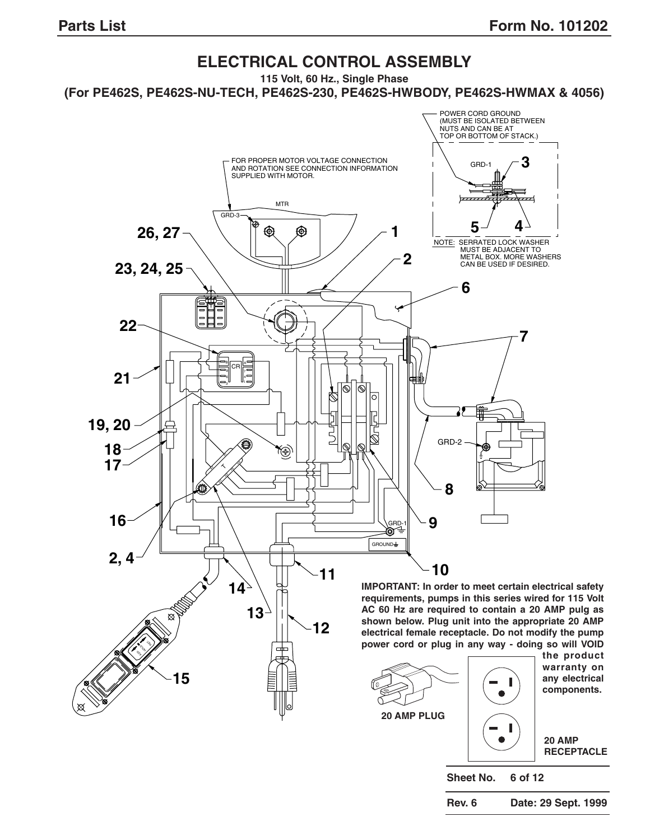#### **ELECTRICAL CONTROL ASSEMBLY 115 Volt, 60 Hz., Single Phase (For PE462S, PE462S-NU-TECH, PE462S-230, PE462S-HWBODY, PE462S-HWMAX & 4056)** POWER CORD GROUND (MUST BE ISOLATED BETWEEN NUTS AND CAN BE AT<br>TOP OR BOTTOM OF STACK.) **3** FOR PROPER MOTOR VOLTAGE CONNECTION<br>AND ROTATION SEE CONNECTION INFORMATION<br>SUPPLIED WITH MOTOR. GRD-1 MTR GRD-3  $5^{\circ}$  4 ⊕ ⊕ **1 26, 27** NOTE: SERRATED LOCK WASHER MUST BE ADJACENT TO METAL BOX. MORE WASHERS **2** CAN BE USED IF DESIRED. **23, 24, 25 6 22 7** B A CR 9 7 **21** 4 6 3 ।<br>ଜା ∣⊗  $\mathbb{Z}$ 먼<br>인 **19, 20** GRD-2 **18** ⑯  $\ddot{}$ **17**  $^{\circ}$ く  $_{\odot}$  $^{\circ}$  $\circ$  $\scriptstyle\odot$ čĨ. **8 16 9** GRD-1<br>◎全 GROUND **2, 4 11**  $\sim$  10 **14 IMPORTANT: In order to meet certain electrical safety requirements, pumps in this series wired for 115 Volt AC 60 Hz are required to contain a 20 AMP pulg as 13 shown below. Plug unit into the appropriate 20 AMP 12 electrical female receptacle. Do not modify the pump power cord or plug in any way - doing so will VOID** RET. VO<sub>R</sub> **the product**  $\phi_{\mathbf{k}}$ **warranty on 15 any electrical components. 20 AMP PLUG20 AMP RECEPTACLE Sheet No. 6 of 12**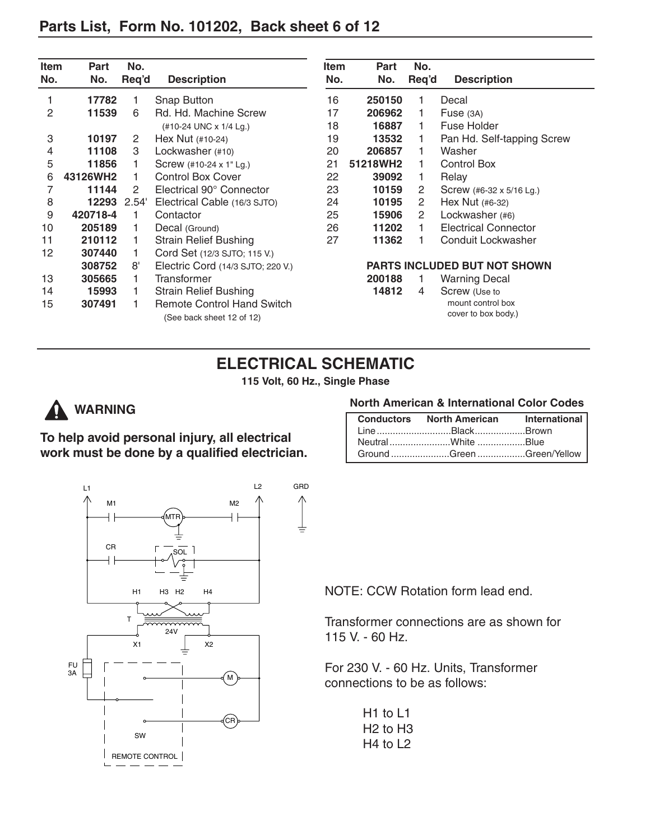| Item<br>No. | Part<br>No. | No.<br>Req'd | <b>Description</b>                                             | Item<br>No. | Part<br>No. | No.<br>Req'd          | <b>Description</b>                       |
|-------------|-------------|--------------|----------------------------------------------------------------|-------------|-------------|-----------------------|------------------------------------------|
|             | 17782       |              | Snap Button                                                    | 16          | 250150      |                       | Decal                                    |
| 2           | 11539       | 6            | Rd. Hd. Machine Screw                                          | 17          | 206962      |                       | Fuse $(3A)$                              |
|             |             |              | (#10-24 UNC x 1/4 Lg.)                                         | 18          | 16887       |                       | Fuse Holder                              |
| 3           | 10197       | 2            | Hex Nut $(+10-24)$                                             | 19          | 13532       |                       | Pan Hd. Self-tapping Screw               |
| 4           | 11108       | 3            | Lockwasher (#10)                                               | 20          | 206857      |                       | Washer                                   |
| 5           | 11856       |              | Screw (#10-24 x 1" Lg.)                                        | 21          | 51218WH2    |                       | Control Box                              |
| 6           | 43126WH2    |              | <b>Control Box Cover</b>                                       | 22          | 39092       |                       | Relay                                    |
| 7           | 11144       | 2            | Electrical 90° Connector                                       | 23          | 10159       | 2                     | Screw (#6-32 x 5/16 Lg.)                 |
| 8           | 12293       | 2.54'        | Electrical Cable (16/3 SJTO)                                   | 24          | 10195       | $\mathbf{2}^{\prime}$ | Hex Nut (#6-32)                          |
| 9           | 420718-4    | 1            | Contactor                                                      | 25          | 15906       | $\mathbf{2}^{\prime}$ | Lockwasher (#6)                          |
| 10          | 205189      |              | Decal (Ground)                                                 | 26          | 11202       |                       | <b>Electrical Connector</b>              |
| 11          | 210112      |              | <b>Strain Relief Bushing</b>                                   | 27          | 11362       |                       | Conduit Lockwasher                       |
| 12          | 307440      |              | Cord Set (12/3 SJTO; 115 V.)                                   |             |             |                       |                                          |
|             | 308752      | 8'           | Electric Cord (14/3 SJTO; 220 V.)                              |             |             |                       | <b>PARTS INCLUDED BUT NOT SHOWN</b>      |
| 13          | 305665      |              | Transformer                                                    |             | 200188      |                       | <b>Warning Decal</b>                     |
| 14          | 15993       |              | <b>Strain Relief Bushing</b>                                   |             | 14812       | 4                     | Screw (Use to                            |
| 15          | 307491      |              | <b>Remote Control Hand Switch</b><br>(See back sheet 12 of 12) |             |             |                       | mount control box<br>cover to box body.) |

**115 Volt, 60 Hz., Single Phase**



# **A** WARNING

**To help avoid personal injury, all electrical work must be done by a qualified electrician.**

### **North American & International Color Codes**

| Conductors North American International |  |
|-----------------------------------------|--|
| LineBlackBrown                          |  |
| NeutralWhite Blue                       |  |
| Ground Green Green/Yellow               |  |



NOTE: CCW Rotation form lead end.

Transformer connections are as shown for 115 V. - 60 Hz.

For 230 V. - 60 Hz. Units, Transformer connections to be as follows:

> H1 to L1 H2 to H3 H4 to L2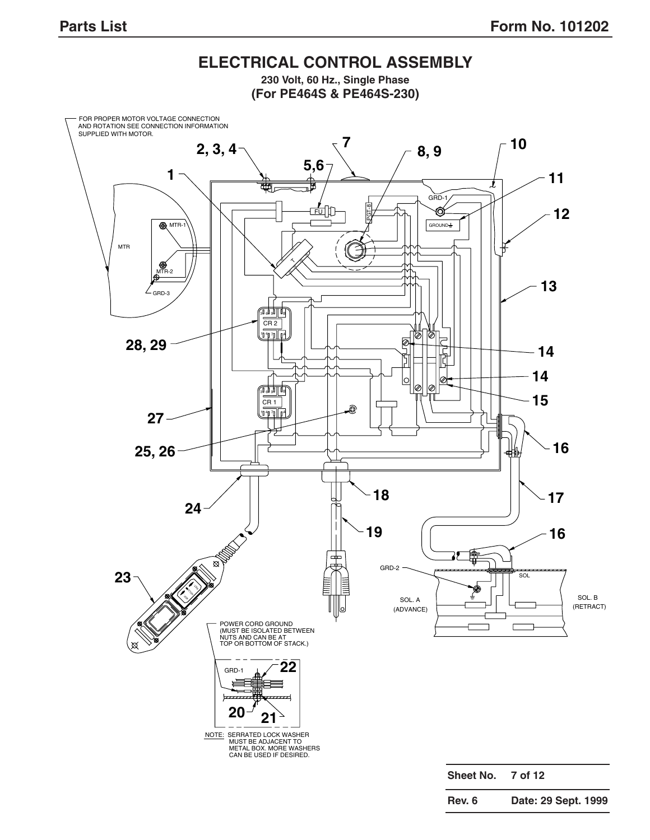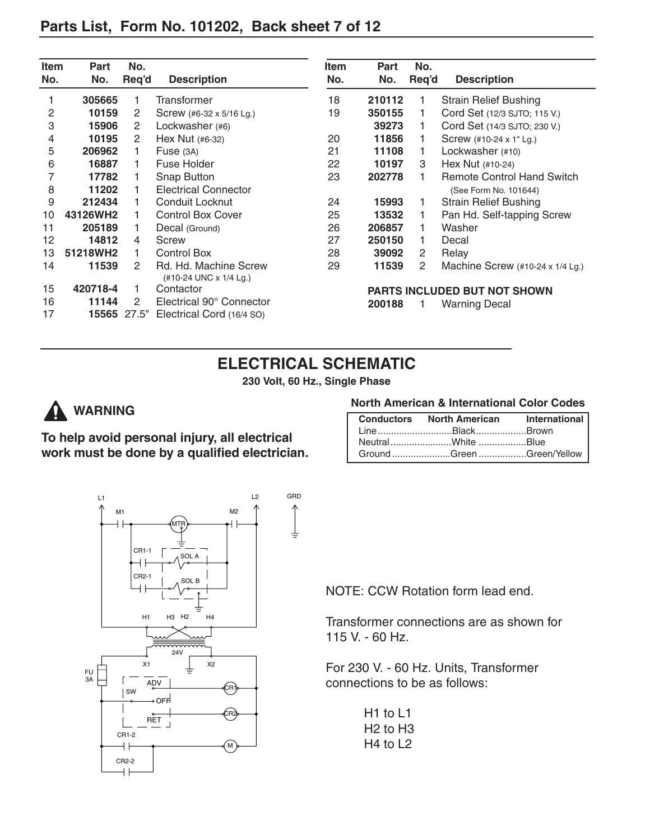## **Parts List, Form No. 101202, Back sheet 7 of 12**

| <b>Item</b> | Part     | No.   |                                                 | <b>Item</b>                         | <b>Part</b> | No.            |                                                                |
|-------------|----------|-------|-------------------------------------------------|-------------------------------------|-------------|----------------|----------------------------------------------------------------|
| No.         | No.      | Req'd | <b>Description</b>                              | No.                                 | No.         | Req'd          | <b>Description</b>                                             |
|             | 305665   |       | Transformer                                     | 18                                  | 210112      | 1              | <b>Strain Relief Bushing</b>                                   |
| 2           | 10159    | 2     | Screw (#6-32 x 5/16 Lg.)                        | 19                                  | 350155      |                | Cord Set (12/3 SJTO; 115 V.)                                   |
| 3           | 15906    | 2     | Lockwasher (#6)                                 |                                     | 39273       | 1.             | Cord Set (14/3 SJTO; 230 V.)                                   |
| 4           | 10195    | 2     | Hex Nut $(#6-32)$                               | 20                                  | 11856       |                | Screw (#10-24 x 1" Lg.)                                        |
| 5           | 206962   |       | Fuse $(3A)$                                     | 21                                  | 11108       | 1.             | Lockwasher (#10)                                               |
| 6           | 16887    |       | Fuse Holder                                     | 22                                  | 10197       | 3              | Hex Nut $(+10-24)$                                             |
| 7           | 17782    |       | Snap Button                                     | 23                                  | 202778      | 1.             | <b>Remote Control Hand Switch</b>                              |
| 8           | 11202    |       | <b>Electrical Connector</b>                     |                                     |             |                | (See Form No. 101644)                                          |
| 9           | 212434   |       | Conduit Locknut                                 | 24                                  | 15993       | 1.             | <b>Strain Relief Bushing</b>                                   |
| 10          | 43126WH2 |       | <b>Control Box Cover</b>                        | 25                                  | 13532       |                | Pan Hd. Self-tapping Screw                                     |
| 11          | 205189   |       | Decal (Ground)                                  | 26                                  | 206857      | 1.             | Washer                                                         |
| 12          | 14812    | 4     | Screw                                           | 27                                  | 250150      | 1.             | Decal                                                          |
| 13          | 51218WH2 |       | Control Box                                     | 28                                  | 39092       | 2              | Relay                                                          |
| 14          | 11539    | 2     | Rd. Hd. Machine Screw<br>(#10-24 UNC x 1/4 Lg.) | 29                                  | 11539       | $\overline{2}$ | Machine Screw $(\text{\#}10\text{-}24 \times 1/4 \text{ Lg.})$ |
| 15          | 420718-4 |       | Contactor                                       | <b>PARTS INCLUDED BUT NOT SHOWN</b> |             |                |                                                                |
| 16          | 11144    | 2     | Electrical 90° Connector                        |                                     | 200188      |                | <b>Warning Decal</b>                                           |
| 17          | 15565    | 27.5" | Electrical Cord (16/4 SO)                       |                                     |             |                |                                                                |

# **ELECTRICAL SCHEMATIC**

**230 Volt, 60 Hz., Single Phase**



# **WARNING**

**To help avoid personal injury, all electrical work must be done by a qualified electrician.**

#### **North American & International Color Codes**

| Conductors North American International |  |
|-----------------------------------------|--|
| LineBlackBrown                          |  |
|                                         |  |
| Ground Green Green/Yellow               |  |



NOTE: CCW Rotation form lead end.

Transformer connections are as shown for 115 V. - 60 Hz.

For 230 V. - 60 Hz. Units, Transformer connections to be as follows:

> H1 to L1 H2 to H3 H4 to L2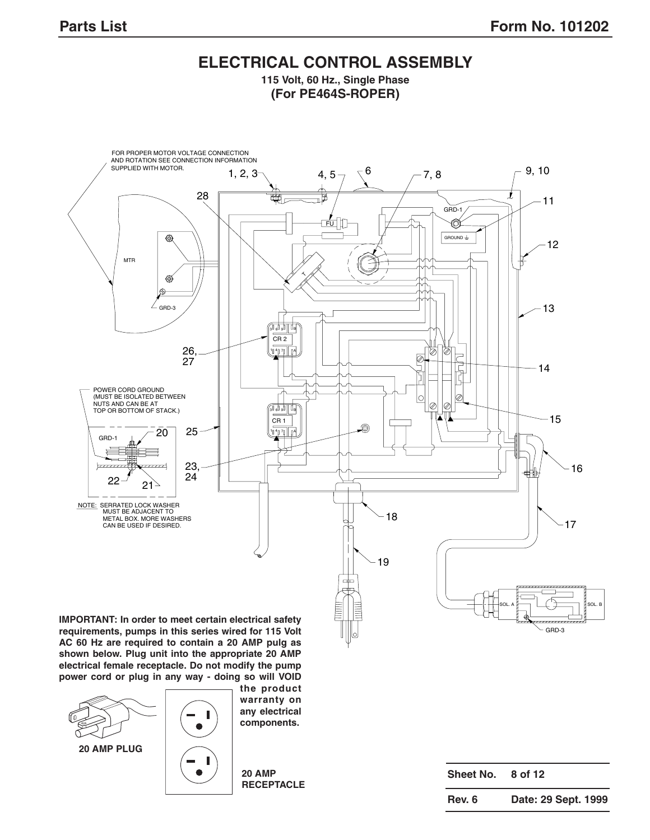## **ELECTRICAL CONTROL ASSEMBLY 115 Volt, 60 Hz., Single Phase**

**(For PE464S-ROPER)**



**requirements, pumps in this series wired for 115 Volt AC 60 Hz are required to contain a 20 AMP pulg as shown below. Plug unit into the appropriate 20 AMP electrical female receptacle. Do not modify the pump power cord or plug in any way - doing so will VOID**



**20 AMP PLUG**



**the product warranty on any electrical components.**

**20 AMP RECEPTACLE**

| Sheet No. | 8 of 12             |
|-----------|---------------------|
| Rev. 6    | Date: 29 Sept. 1999 |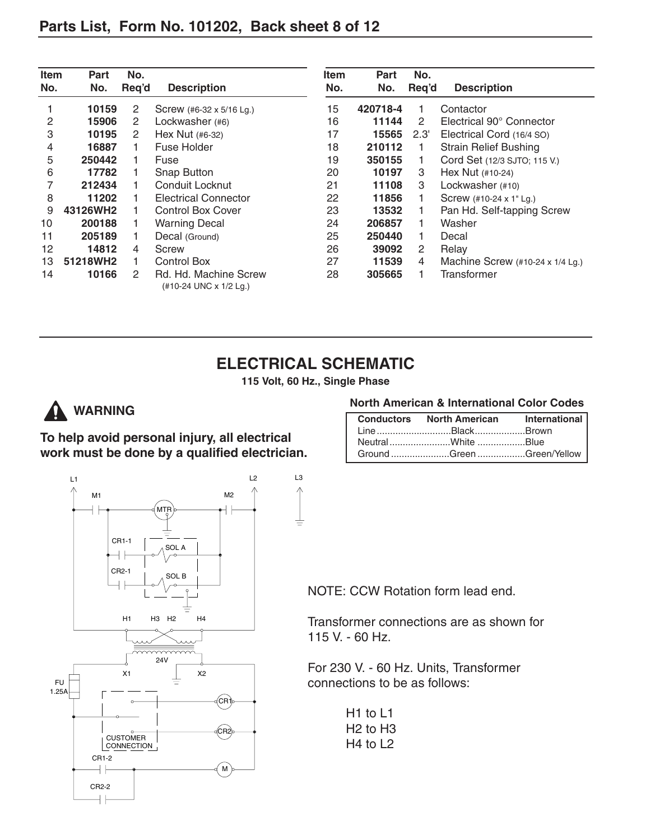| <b>Item</b><br>No. | Part<br>No. | No.<br>Req'd | <b>Description</b>                              | <b>Item</b><br>No. | Part<br>No. | No.<br>Req'd | <b>Description</b>                       |
|--------------------|-------------|--------------|-------------------------------------------------|--------------------|-------------|--------------|------------------------------------------|
|                    | 10159       | 2            | Screw (#6-32 x 5/16 Lg.)                        | 15                 | 420718-4    |              | Contactor                                |
| 2                  | 15906       | 2            | Lockwasher (#6)                                 | 16                 | 11144       | 2            | Electrical 90° Connector                 |
| 3                  | 10195       | 2            | Hex Nut $(#6-32)$                               | 17                 | 15565       | 2.3'         | Electrical Cord (16/4 SO)                |
| 4                  | 16887       |              | Fuse Holder                                     | 18                 | 210112      |              | <b>Strain Relief Bushing</b>             |
| 5                  | 250442      |              | Fuse                                            | 19                 | 350155      |              | Cord Set (12/3 SJTO; 115 V.)             |
| 6                  | 17782       |              | <b>Snap Button</b>                              | 20                 | 10197       | 3            | Hex Nut $(+10-24)$                       |
|                    | 212434      |              | Conduit Locknut                                 | 21                 | 11108       | 3            | Lockwasher (#10)                         |
| 8                  | 11202       |              | <b>Electrical Connector</b>                     | 22                 | 11856       |              | Screw (#10-24 x 1" Lg.)                  |
| 9                  | 43126WH2    |              | <b>Control Box Cover</b>                        | 23                 | 13532       |              | Pan Hd. Self-tapping Screw               |
| 10                 | 200188      |              | <b>Warning Decal</b>                            | 24                 | 206857      | 1.           | Washer                                   |
| 11                 | 205189      |              | Decal (Ground)                                  | 25                 | 250440      | 1.           | Decal                                    |
| 12                 | 14812       | 4            | Screw                                           | 26                 | 39092       | 2            | Relay                                    |
| 13                 | 51218WH2    |              | <b>Control Box</b>                              | 27                 | 11539       | 4            | Machine Screw $(\#10-24 \times 1/4$ Lg.) |
| 14                 | 10166       | 2            | Rd. Hd. Machine Screw<br>(#10-24 UNC x 1/2 Lg.) | 28                 | 305665      |              | Transformer                              |

**115 Volt, 60 Hz., Single Phase**



# **A** WARNING

**To help avoid personal injury, all electrical work must be done by a qualified electrician.**



| Conductors North American International |  |
|-----------------------------------------|--|
| LineBlackBrown                          |  |
| NeutralWhite Blue                       |  |
| Ground Green Green/Yellow               |  |



NOTE: CCW Rotation form lead end.

Transformer connections are as shown for  $\sigma$  v.  $\sigma$  rotation from  $\sigma$ 115 V. - 60 Hz.

For 230 V. - 60 Hz. Units, Transformer connections to be as follows:

> H1 to L1 H2 to H3 H4 to L2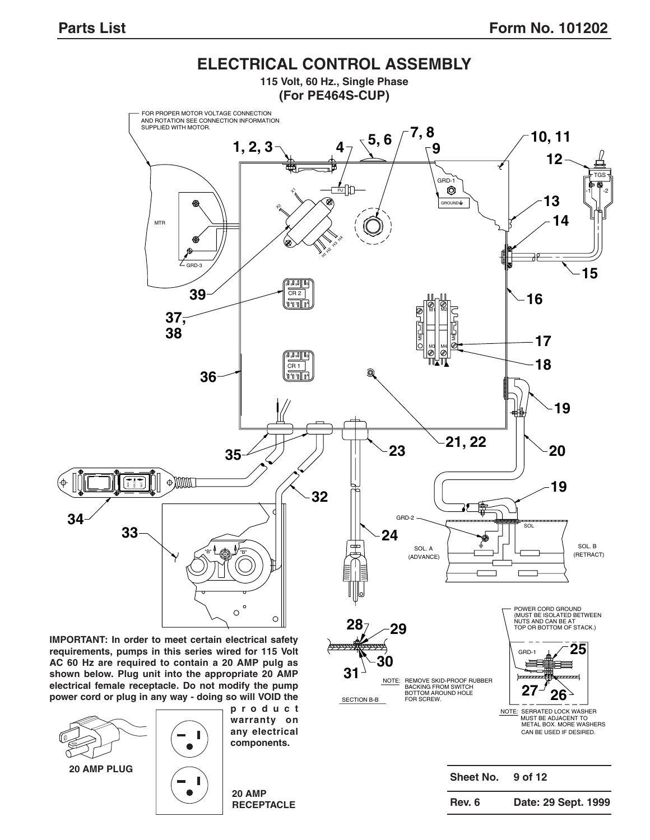

**IMPORTANT: In order to meet certain electrical safety requirements, pumps in this series wired for 115 Volt AC 60 Hz are required to contain a 20 AMP pulg as shown below. Plug unit into the appropriate 20 AMP electrical female receptacle. Do not modify the pump power cord or plug in any way - doing so will VOID the**





**product warranty on any electrical components.**

**20 AMP RECEPTACLE**

|        | Sheet No. | 9 of 12             |  |
|--------|-----------|---------------------|--|
| Rev. 6 |           | Date: 29 Sept. 1999 |  |

GRD-

CAN BE USED IF DESIRED. METAL BOX. MORE WASHERS MUST BE ADJACENT TO NOTE: SERRATED LOCK WASHER

**27 26**

**25**

FOR SCREW. NOTE: REMOVE SKID-PROOF RUBBER<br>BACKING FROM SWITCH<br>BOTTOM AROUND HOLE

SECTION B-B

**31**

**30**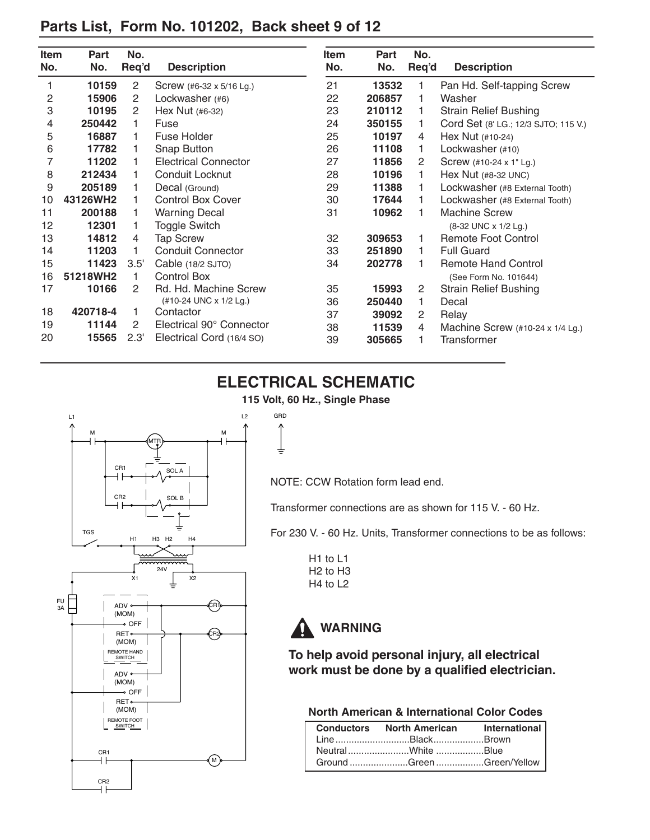# **Parts List, Form No. 101202, Back sheet 9 of 12**

| Item | Part     | No.                   |                             | <b>Item</b> | Part   | No.   |                                      |
|------|----------|-----------------------|-----------------------------|-------------|--------|-------|--------------------------------------|
| No.  | No.      | Req'd                 | <b>Description</b>          | No.         | No.    | Req'd | <b>Description</b>                   |
| 1    | 10159    | $\overline{2}$        | Screw (#6-32 x 5/16 Lg.)    | 21          | 13532  | 1     | Pan Hd. Self-tapping Screw           |
| 2    | 15906    | $\mathbf{2}^{\prime}$ | Lockwasher (#6)             | 22          | 206857 | 1     | Washer                               |
| 3    | 10195    | $\mathbf{2}^{\prime}$ | Hex Nut (#6-32)             | 23          | 210112 | 1     | <b>Strain Relief Bushing</b>         |
| 4    | 250442   | 1.                    | Fuse                        | 24          | 350155 | 1.    | Cord Set (8' LG.; 12/3 SJTO; 115 V.) |
| 5    | 16887    | 1                     | Fuse Holder                 | 25          | 10197  | 4     | Hex Nut (#10-24)                     |
| 6    | 17782    | 1                     | Snap Button                 | 26          | 11108  | 1.    | Lockwasher (#10)                     |
| 7    | 11202    | 1                     | <b>Electrical Connector</b> | 27          | 11856  | 2     | Screw (#10-24 x 1" Lg.)              |
| 8    | 212434   | 1                     | Conduit Locknut             | 28          | 10196  | 1.    | Hex Nut (#8-32 UNC)                  |
| 9    | 205189   | 1                     | Decal (Ground)              | 29          | 11388  | 1.    | Lockwasher (#8 External Tooth)       |
| 10   | 43126WH2 |                       | <b>Control Box Cover</b>    | 30          | 17644  | 1.    | Lockwasher (#8 External Tooth)       |
| 11   | 200188   | 1                     | <b>Warning Decal</b>        | 31          | 10962  | 1.    | <b>Machine Screw</b>                 |
| 12   | 12301    |                       | <b>Toggle Switch</b>        |             |        |       | (8-32 UNC x 1/2 Lg.)                 |
| 13   | 14812    | 4                     | <b>Tap Screw</b>            | 32          | 309653 | 1     | <b>Remote Foot Control</b>           |
| 14   | 11203    | 1                     | <b>Conduit Connector</b>    | 33          | 251890 | 1.    | <b>Full Guard</b>                    |
| 15   | 11423    | 3.5'                  | Cable (18/2 SJTO)           | 34          | 202778 | 1     | <b>Remote Hand Control</b>           |
| 16   | 51218WH2 | 1.                    | <b>Control Box</b>          |             |        |       | (See Form No. 101644)                |
| 17   | 10166    | 2                     | Rd. Hd. Machine Screw       | 35          | 15993  | 2     | <b>Strain Relief Bushing</b>         |
|      |          |                       | (#10-24 UNC x 1/2 Lg.)      | 36          | 250440 | 1.    | Decal                                |
| 18   | 420718-4 | 1                     | Contactor                   | 37          | 39092  | 2     | Relay                                |
| 19   | 11144    | 2                     | Electrical 90° Connector    | 38          | 11539  | 4     | Machine Screw (#10-24 x 1/4 Lg.)     |
| 20   | 15565    | 2.3'                  | Electrical Cord (16/4 SO)   | 39          | 305665 | 1     | <b>Transformer</b>                   |

# **ELECTRICAL SCHEMATIC**

**115 Volt, 60 Hz., Single Phase**

↑ ₹



NOTE: CCW Rotation form lead end.

Transformer connections are as shown for 115 V. - 60 Hz.

For 230 V. - 60 Hz. Units, Transformer connections to be as follows:

H1 to L1 H2 to H3 H4 to L2



**To help avoid personal injury, all electrical work must be done by a qualified electrician.**

## **North American & International Color Codes**

| Conductors North American International |  |
|-----------------------------------------|--|
| LineBlackBrown                          |  |
| NeutralWhite Blue                       |  |
| Ground Green Green/Yellow               |  |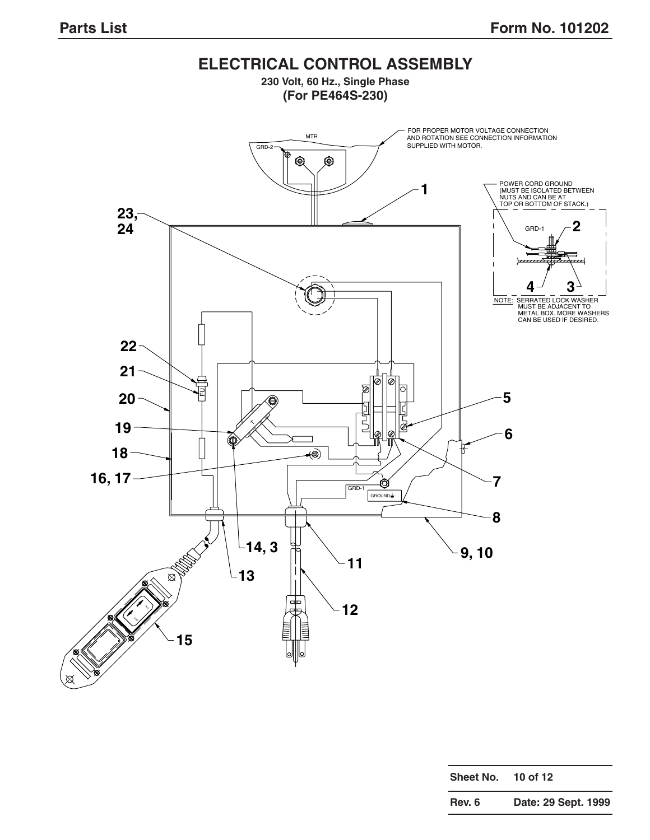

| Sheet No. | 10 of 12            |
|-----------|---------------------|
| Rev. 6    | Date: 29 Sept. 1999 |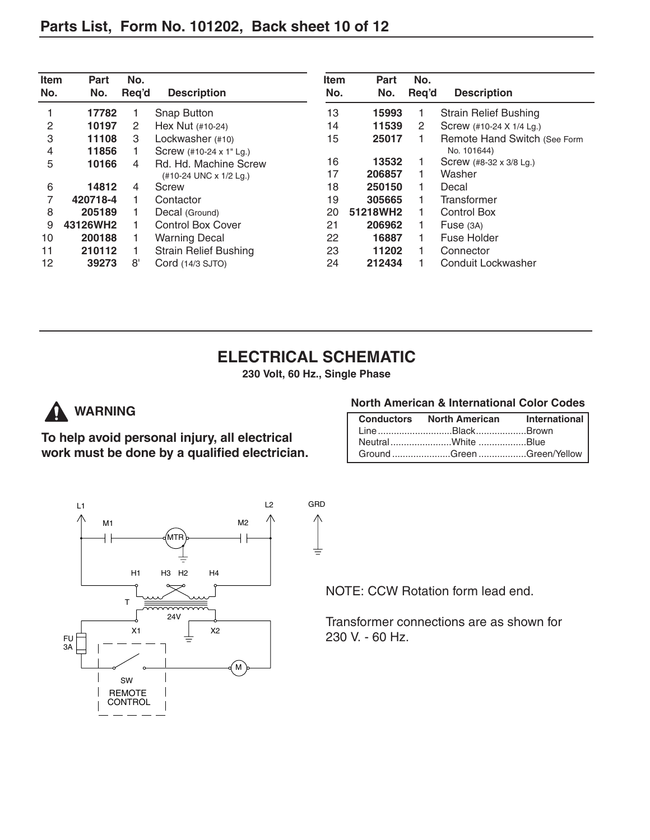| Item<br>No. | Part<br>No. | No.<br>Req'd | <b>Description</b>           | <b>Item</b><br>No. | Part<br>No. | No.<br>Req'd | <b>Description</b>           |
|-------------|-------------|--------------|------------------------------|--------------------|-------------|--------------|------------------------------|
|             | 17782       |              | Snap Button                  | 13                 | 15993       |              | <b>Strain Relief Bushing</b> |
| 2           | 10197       | 2            | Hex Nut $(+10-24)$           | 14                 | 11539       | 2            | Screw (#10-24 X 1/4 Lg.)     |
| 3           | 11108       | 3            | Lockwasher (#10)             | 15                 | 25017       |              | Remote Hand Switch (See Form |
| 4           | 11856       |              | Screw (#10-24 x 1" Lg.)      |                    |             |              | No. 101644)                  |
| 5           | 10166       | 4            | Rd. Hd. Machine Screw        | 16                 | 13532       |              | Screw (#8-32 x 3/8 Lg.)      |
|             |             |              | (#10-24 UNC x 1/2 Lg.)       | 17                 | 206857      |              | Washer                       |
| 6           | 14812       | 4            | <b>Screw</b>                 | 18                 | 250150      |              | Decal                        |
| 7           | 420718-4    |              | Contactor                    | 19                 | 305665      |              | Transformer                  |
| 8           | 205189      |              | Decal (Ground)               | 20                 | 51218WH2    |              | <b>Control Box</b>           |
| 9           | 43126WH2    |              | <b>Control Box Cover</b>     | 21                 | 206962      |              | Fuse $(3A)$                  |
| 10          | 200188      |              | <b>Warning Decal</b>         | 22                 | 16887       |              | Fuse Holder                  |
| 11          | 210112      |              | <b>Strain Relief Bushing</b> | 23                 | 11202       |              | Connector                    |
| 12          | 39273       | 8'           | Cord (14/3 SJTO)             | 24                 | 212434      |              | Conduit Lockwasher           |

**230 Volt, 60 Hz., Single Phase**

 $\pm$ 



**To help avoid personal injury, all electrical work must be done by a qualified electrician.**

### **North American & International Color Codes**

| <b>Conductors North American International</b> |  |
|------------------------------------------------|--|
| LineBlackBrown                                 |  |
|                                                |  |
| Ground Green Green/Yellow                      |  |



NOTE: CCW Rotation form lead end.

Transformer connections are as shown for 230 V. - 60 Hz.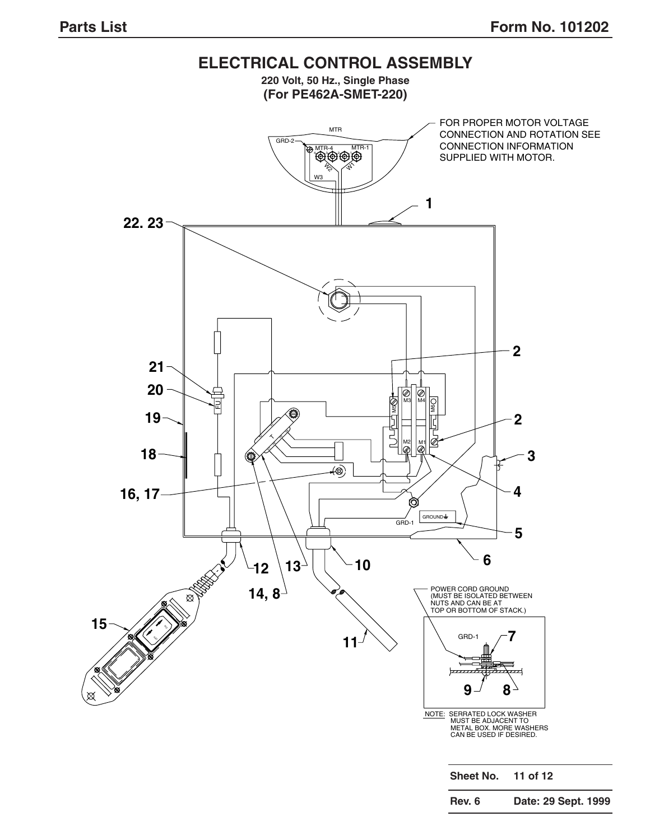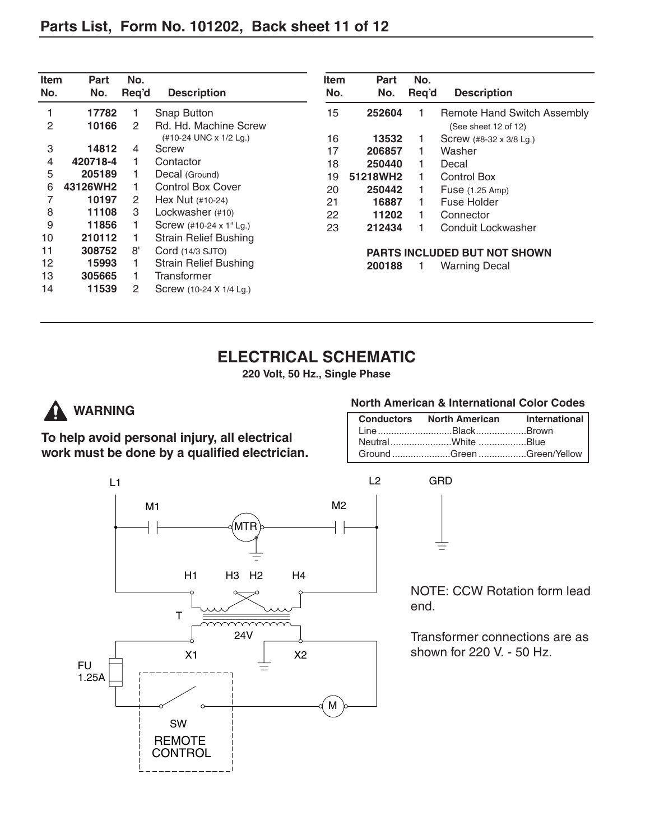| <b>Item</b><br>No. | Part<br>No. | No.<br>Reg'd | <b>Description</b>           | <b>Item</b><br>No. | Part<br>No. | No.<br>Req'd | <b>Description</b>            |
|--------------------|-------------|--------------|------------------------------|--------------------|-------------|--------------|-------------------------------|
|                    | 17782       |              | Snap Button                  | 15                 | 252604      |              | Remote Hand S                 |
| 2                  | 10166       | 2            | Rd. Hd. Machine Screw        |                    |             |              | (See sheet 12 of              |
|                    |             |              | (#10-24 UNC x 1/2 Lg.)       | 16                 | 13532       |              | Screw $(48-32 \times 3)$      |
| 3                  | 14812       | 4            | Screw                        | 17                 | 206857      | 1            | Washer                        |
| $\overline{4}$     | 420718-4    |              | Contactor                    | 18                 | 250440      | 1            | Decal                         |
| 5                  | 205189      |              | Decal (Ground)               | 19                 | 51218WH2    |              | Control Box                   |
| 6                  | 43126WH2    |              | <b>Control Box Cover</b>     | 20                 | 250442      |              | Fuse (1.25 Amp)               |
|                    | 10197       | 2            | Hex Nut (#10-24)             | 21                 | 16887       |              | Fuse Holder                   |
| 8                  | 11108       | 3            | Lockwasher (#10)             | 22                 | 11202       |              | Connector                     |
| 9                  | 11856       |              | Screw (#10-24 x 1" Lg.)      | 23                 | 212434      |              | Conduit Lockwa                |
| 10                 | 210112      |              | <b>Strain Relief Bushing</b> |                    |             |              |                               |
| 11                 | 308752      | 8'           | Cord (14/3 SJTO)             |                    |             |              | <b>PARTS INCLUDED BUT NOT</b> |
| 12                 | 15993       |              | <b>Strain Relief Bushing</b> |                    | 200188      |              | <b>Warning Decal</b>          |
| 13                 | 305665      |              | Transformer                  |                    |             |              |                               |
| 14                 | 11539       | 2            | Screw (10-24 X 1/4 Lg.)      |                    |             |              |                               |
|                    |             |              |                              |                    |             |              |                               |

| tem<br>No. | <b>Part</b><br>No. | No.<br>Req'd | <b>Description</b>                                  |
|------------|--------------------|--------------|-----------------------------------------------------|
| 15         | 252604             | 1            | Remote Hand Switch Assembly<br>(See sheet 12 of 12) |
| 16         | 13532              | 1            | Screw (#8-32 x 3/8 Lg.)                             |
| 17         | 206857             | 1            | Washer                                              |
| 18         | 250440             | 1            | Decal                                               |
| 19         | 51218WH2           | 1            | Control Box                                         |
| 20         | 250442             | 1            | Fuse (1.25 Amp)                                     |
| 21         | 16887              | 1            | Fuse Holder                                         |
| 22         | 11202              | 1            | Connector                                           |
| 23         | 212434             | 1            | Conduit Lockwasher                                  |
|            |                    |              | <b>PARTS INCLUDED BUT NOT SHOWN</b>                 |

# **ELECTRICAL SCHEMATIC**

**220 Volt, 50 Hz., Single Phase**



# **WARNING**

**To help avoid personal injury, all electrical work must be done by a qualified electrician.**

### **North American & International Color Codes**

| <b>Conductors North American International</b> |  |
|------------------------------------------------|--|
| LineBlackBrown                                 |  |
|                                                |  |
| Ground Green Green/Yellow                      |  |

GRD



## NOTE: CCW Rotation form lead end.

Transformer connections are as shown for 220 V. - 50 Hz.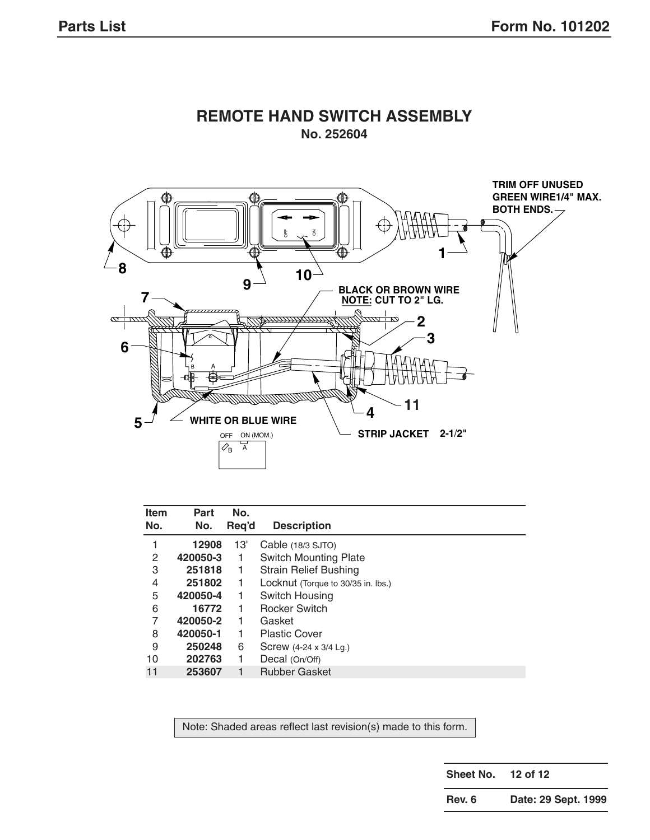

## **REMOTE HAND SWITCH ASSEMBLY No. 252604**

| <b>Item</b> | Part     | No.   |                                    |
|-------------|----------|-------|------------------------------------|
| No.         | No.      | Req'd | <b>Description</b>                 |
| 1           | 12908    | 13'   | Cable (18/3 SJTO)                  |
| 2           | 420050-3 | 1     | <b>Switch Mounting Plate</b>       |
| 3           | 251818   | 1     | <b>Strain Relief Bushing</b>       |
| 4           | 251802   | 1     | Locknut (Torque to 30/35 in. lbs.) |
| 5           | 420050-4 |       | Switch Housing                     |
| 6           | 16772    |       | <b>Rocker Switch</b>               |
| 7           | 420050-2 | 1     | Gasket                             |
| 8           | 420050-1 | 1     | <b>Plastic Cover</b>               |
| 9           | 250248   | 6     | Screw (4-24 x 3/4 Lg.)             |
| 10          | 202763   |       | Decal (On/Off)                     |
| 11          | 253607   |       | <b>Rubber Gasket</b>               |

Note: Shaded areas reflect last revision(s) made to this form.

**Sheet No. 12 of 12**